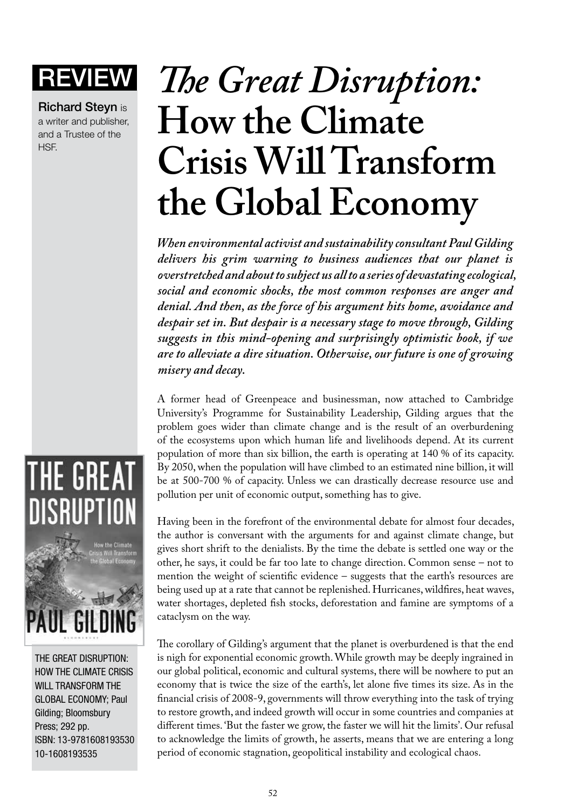**Richard Stevn is** a writer and publisher, and a Trustee of the HSF.

## **IEW** The Great Disruption: **How the Climate Crisis Will Transform the Global Economy**

*When environmental activist and sustainability consultant Paul Gilding delivers his grim warning to business audiences that our planet is overstretched and about to subject us all to a series of devastating ecological, social and economic shocks, the most common responses are anger and denial. And then, as the force of his argument hits home, avoidance and despair set in. But despair is a necessary stage to move through, Gilding suggests in this mind-opening and surprisingly optimistic book, if we are to alleviate a dire situation. Otherwise, our future is one of growing misery and decay.*

A former head of Greenpeace and businessman, now attached to Cambridge University's Programme for Sustainability Leadership, Gilding argues that the problem goes wider than climate change and is the result of an overburdening of the ecosystems upon which human life and livelihoods depend. At its current population of more than six billion, the earth is operating at 140 % of its capacity. By 2050, when the population will have climbed to an estimated nine billion, it will be at 500-700 % of capacity. Unless we can drastically decrease resource use and pollution per unit of economic output, something has to give.

Having been in the forefront of the environmental debate for almost four decades, the author is conversant with the arguments for and against climate change, but gives short shrift to the denialists. By the time the debate is settled one way or the other, he says, it could be far too late to change direction. Common sense – not to mention the weight of scientific evidence – suggests that the earth's resources are being used up at a rate that cannot be replenished. Hurricanes, wildfires, heat waves, water shortages, depleted fish stocks, deforestation and famine are symptoms of a cataclysm on the way.

The corollary of Gilding's argument that the planet is overburdened is that the end is nigh for exponential economic growth. While growth may be deeply ingrained in our global political, economic and cultural systems, there will be nowhere to put an economy that is twice the size of the earth's, let alone five times its size. As in the financial crisis of 2008-9, governments will throw everything into the task of trying to restore growth, and indeed growth will occur in some countries and companies at different times. 'But the faster we grow, the faster we will hit the limits'. Our refusal to acknowledge the limits of growth, he asserts, means that we are entering a long period of economic stagnation, geopolitical instability and ecological chaos.



The Great Disruption: How the Climate Crisis WILL TRANSFORM THE Global Economy; Paul Gilding; Bloomsbury Press; 292 pp. ISBN: 13-9781608193530 10-1608193535